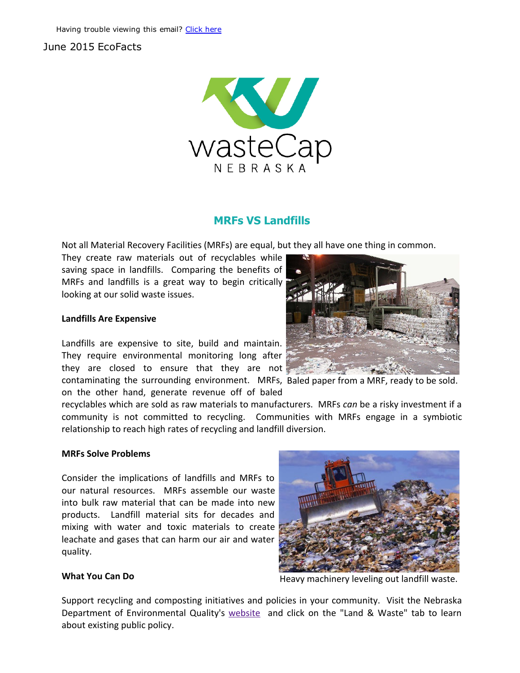# June 2015 EcoFacts



## MRFs VS Landfills

Not all Material Recovery Facilities (MRFs) are equal, but they all have one thing in common.

They create raw materials out of recyclables while saving space in landfills. Comparing the benefits of MRFs and landfills is a great way to begin critically looking at our solid waste issues.

#### Landfills Are Expensive

contaminating the surrounding environment. MRFs, Baled paper from a MRF, ready to be sold. Landfills are expensive to site, build and maintain. They require environmental monitoring long after they are closed to ensure that they are not

on the other hand, generate revenue off of baled



recyclables which are sold as raw materials to manufacturers. MRFs *can* be a risky investment if a community is not committed to recycling. Communities with MRFs engage in a symbiotic relationship to reach high rates of recycling and landfill diversion.

#### MRFs Solve Problems

Consider the implications of landfills and MRFs to our natural resources. MRFs assemble our waste into bulk raw material that can be made into new products. Landfill material sits for decades and mixing with water and toxic materials to create leachate and gases that can harm our air and water quality.



## What You Can Do

Heavy machinery leveling out landfill waste.

Support recycling and composting initiatives and policies in your community. Visit the Nebraska Department of Environmental Quality's website and click on the "Land & Waste" tab to learn about existing public policy.